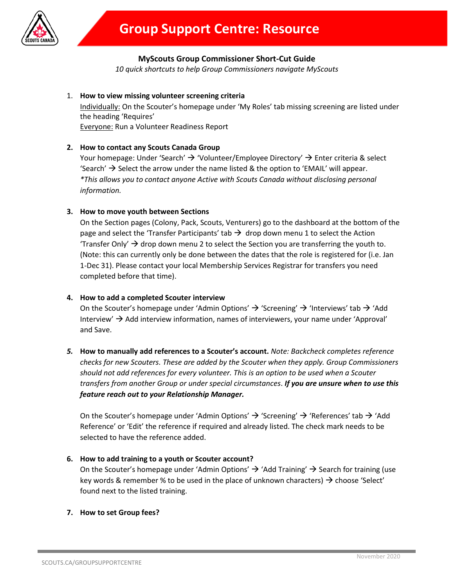

# **MyScouts Group Commissioner Short-Cut Guide**

*10 quick shortcuts to help Group Commissioners navigate MyScouts*

## 1. **How to view missing volunteer screening criteria**

Individually: On the Scouter's homepage under 'My Roles' tab missing screening are listed under the heading 'Requires'

Everyone: Run a Volunteer Readiness Report

## **2. How to contact any Scouts Canada Group**

Your homepage: Under 'Search'  $\rightarrow$  'Volunteer/Employee Directory'  $\rightarrow$  Enter criteria & select 'Search'  $\rightarrow$  Select the arrow under the name listed & the option to 'EMAIL' will appear. *\*This allows you to contact anyone Active with Scouts Canada without disclosing personal information.* 

## **3. How to move youth between Sections**

On the Section pages (Colony, Pack, Scouts, Venturers) go to the dashboard at the bottom of the page and select the 'Transfer Participants' tab  $\rightarrow$  drop down menu 1 to select the Action 'Transfer Only'  $\rightarrow$  drop down menu 2 to select the Section you are transferring the youth to. (Note: this can currently only be done between the dates that the role is registered for (i.e. Jan 1-Dec 31). Please contact your local Membership Services Registrar for transfers you need completed before that time).

### **4. How to add a completed Scouter interview**

On the Scouter's homepage under 'Admin Options'  $\rightarrow$  'Screening'  $\rightarrow$  'Interviews' tab  $\rightarrow$  'Add Interview'  $\rightarrow$  Add interview information, names of interviewers, your name under 'Approval' and Save.

*5.* **How to manually add references to a Scouter's account.** *Note: Backcheck completes reference checks for new Scouters. These are added by the Scouter when they apply. Group Commissioners should not add references for every volunteer. This is an option to be used when a Scouter transfers from another Group or under special circumstances*. *If you are unsure when to use this feature reach out to your Relationship Manager.*

On the Scouter's homepage under 'Admin Options'  $\rightarrow$  'Screening'  $\rightarrow$  'References' tab  $\rightarrow$  'Add Reference' or 'Edit' the reference if required and already listed. The check mark needs to be selected to have the reference added.

#### **6. How to add training to a youth or Scouter account?**

On the Scouter's homepage under 'Admin Options'  $\rightarrow$  'Add Training'  $\rightarrow$  Search for training (use key words & remember % to be used in the place of unknown characters)  $\rightarrow$  choose 'Select' found next to the listed training.

#### **7. How to set Group fees?**